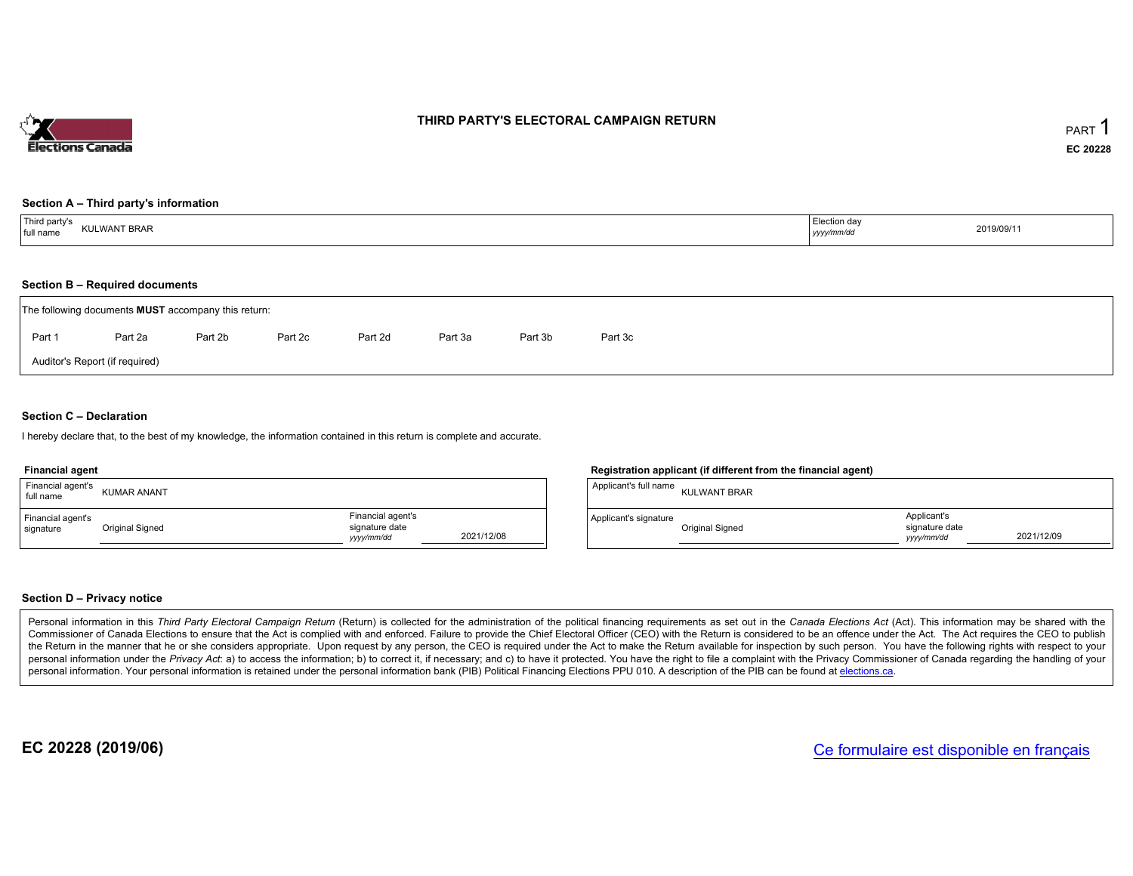

# THIRD PARTY'S ELECTORAL CAMPAIGN RETURN

## Section <sup>A</sup> – Third party's information

| Third party's<br>Election day<br><b>KULWANT BRAR</b><br>full name<br>yyyy/mm/dd | 2019/09/11 |
|---------------------------------------------------------------------------------|------------|
|---------------------------------------------------------------------------------|------------|

## Section <sup>B</sup> – Required documents

|        | The following documents <b>MUST</b> accompany this return: |         |         |         |         |         |         |  |
|--------|------------------------------------------------------------|---------|---------|---------|---------|---------|---------|--|
| Part 1 | Part 2a                                                    | Part 2b | Part 2c | Part 2d | Part 3a | Part 3b | Part 3c |  |
|        | Auditor's Report (if required)                             |         |         |         |         |         |         |  |

## Section <sup>C</sup> – Declaration

hereby declare that, to the best of my knowledge, the information contained in this return is complete and accurate.

#### Financial agent

| Financial agent's<br>full name | <b>KUMAR ANANT</b> |                                                  |            | <sup>1</sup> Applicant's full name | <b>KULWANT BRAR</b> |
|--------------------------------|--------------------|--------------------------------------------------|------------|------------------------------------|---------------------|
| Financial agent's<br>signature | Original Signed    | Financial agent's<br>signature date<br>vyy/mm/dd | 2021/12/08 | Applicant's signature              | Original Signed     |

# Registration applicant (if different from the financial agent)

| Applicant's full name | <b>KULWANT BRAR</b> |                                            |            |
|-----------------------|---------------------|--------------------------------------------|------------|
| Applicant's signature | Original Signed     | Applicant's<br>signature date<br>vyy/mm/dd | 2021/12/09 |

# Section <sup>D</sup> – Privacy notice

Personal information in this Third Party Electoral Campaign Return (Return) is collected for the administration of the political financing requirements as set out in the Canada Elections Act (Act). This information may be Commissioner of Canada Elections to ensure that the Act is complied with and enforced. Failure to provide the Chief Electoral Officer (CEO) with the Return is considered to be an offence under the Act. The Act requires the the Return in the manner that he or she considers appropriate. Upon request by any person, the CEO is required under the Act to make the Return available for inspection by such person. You have the capacity with respect to personal information under the Privacy Act. a) to access the information; b) to correct it, if necessary; and c) to have it protected. You have the right to file a complaint with the Privacy Commissioner of Canada regardin personal information. Your personal information is retained under the personal information bank (PIB) Political Financing Elections PPU 010. A description of the PIB can be found at <u>elections.ca</u>.

EC 20228 (2019/06)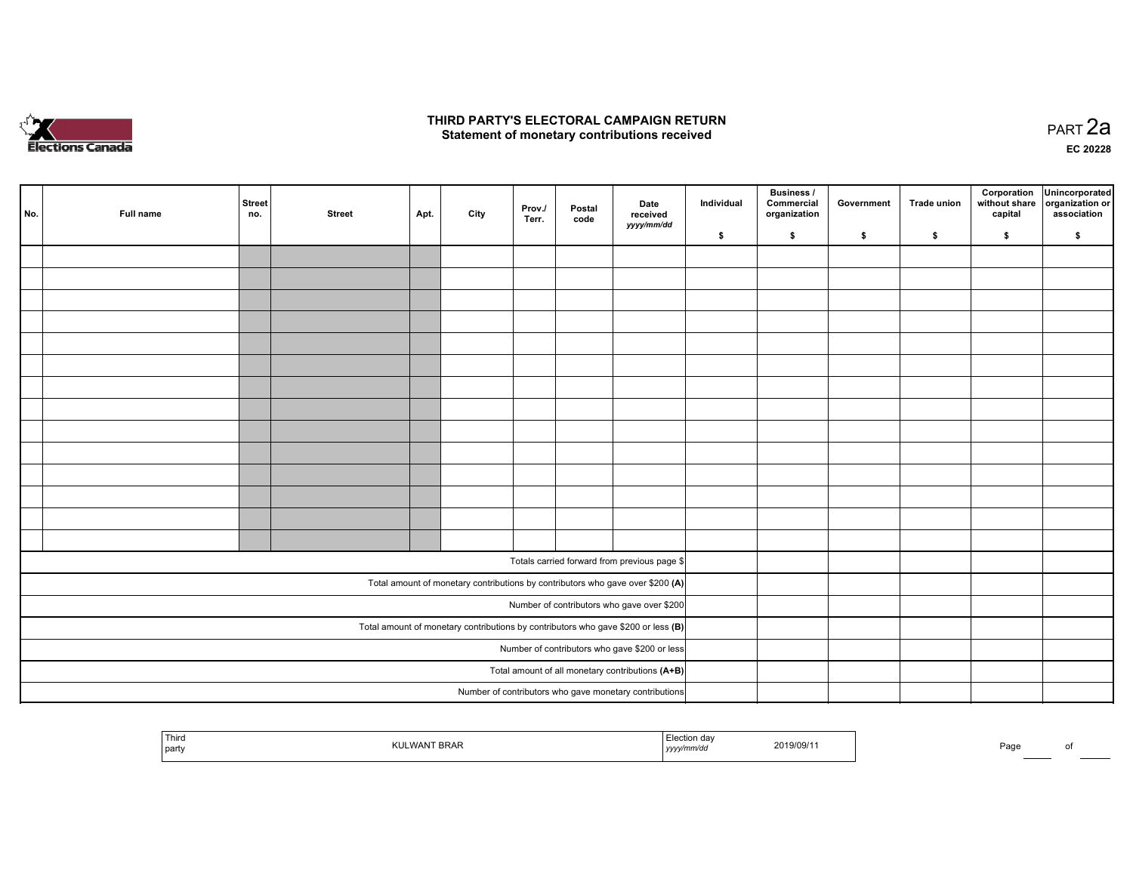

#### THIRD PARTY'S ELECTORAL CAMPAIGN RETURN Statement of monetary contributions received

 PART 2aEC <sup>20228</sup>

| No. | Full name | Street<br>no. | <b>Street</b> | Apt. | City | Prov./<br>Terr. | Postal<br>code | Date<br>received<br>yyyy/mm/dd                                                    | Individual | <b>Business /</b><br>Commercial<br>organization | Government | <b>Trade union</b> | Corporation<br>without share<br>capital | Unincorporated<br>organization or<br>association |
|-----|-----------|---------------|---------------|------|------|-----------------|----------------|-----------------------------------------------------------------------------------|------------|-------------------------------------------------|------------|--------------------|-----------------------------------------|--------------------------------------------------|
|     |           |               |               |      |      |                 |                |                                                                                   | \$         | \$                                              | \$         | \$                 | \$                                      | \$                                               |
|     |           |               |               |      |      |                 |                |                                                                                   |            |                                                 |            |                    |                                         |                                                  |
|     |           |               |               |      |      |                 |                |                                                                                   |            |                                                 |            |                    |                                         |                                                  |
|     |           |               |               |      |      |                 |                |                                                                                   |            |                                                 |            |                    |                                         |                                                  |
|     |           |               |               |      |      |                 |                |                                                                                   |            |                                                 |            |                    |                                         |                                                  |
|     |           |               |               |      |      |                 |                |                                                                                   |            |                                                 |            |                    |                                         |                                                  |
|     |           |               |               |      |      |                 |                |                                                                                   |            |                                                 |            |                    |                                         |                                                  |
|     |           |               |               |      |      |                 |                |                                                                                   |            |                                                 |            |                    |                                         |                                                  |
|     |           |               |               |      |      |                 |                |                                                                                   |            |                                                 |            |                    |                                         |                                                  |
|     |           |               |               |      |      |                 |                |                                                                                   |            |                                                 |            |                    |                                         |                                                  |
|     |           |               |               |      |      |                 |                |                                                                                   |            |                                                 |            |                    |                                         |                                                  |
|     |           |               |               |      |      |                 |                |                                                                                   |            |                                                 |            |                    |                                         |                                                  |
|     |           |               |               |      |      |                 |                |                                                                                   |            |                                                 |            |                    |                                         |                                                  |
|     |           |               |               |      |      |                 |                |                                                                                   |            |                                                 |            |                    |                                         |                                                  |
|     |           |               |               |      |      |                 |                |                                                                                   |            |                                                 |            |                    |                                         |                                                  |
|     |           |               |               |      |      |                 |                | Totals carried forward from previous page \$                                      |            |                                                 |            |                    |                                         |                                                  |
|     |           |               |               |      |      |                 |                | Total amount of monetary contributions by contributors who gave over \$200 (A)    |            |                                                 |            |                    |                                         |                                                  |
|     |           |               |               |      |      |                 |                | Number of contributors who gave over \$200                                        |            |                                                 |            |                    |                                         |                                                  |
|     |           |               |               |      |      |                 |                | Total amount of monetary contributions by contributors who gave \$200 or less (B) |            |                                                 |            |                    |                                         |                                                  |
|     |           |               |               |      |      |                 |                | Number of contributors who gave \$200 or less                                     |            |                                                 |            |                    |                                         |                                                  |
|     |           |               |               |      |      |                 |                | Total amount of all monetary contributions (A+B)                                  |            |                                                 |            |                    |                                         |                                                  |
|     |           |               |               |      |      |                 |                | Number of contributors who gave monetary contributions                            |            |                                                 |            |                    |                                         |                                                  |

| Third<br>party | 5RAN | 11/ UC<br>,,,,, | 9/11.91 | Paɑ∟ |  |
|----------------|------|-----------------|---------|------|--|
|                |      |                 |         |      |  |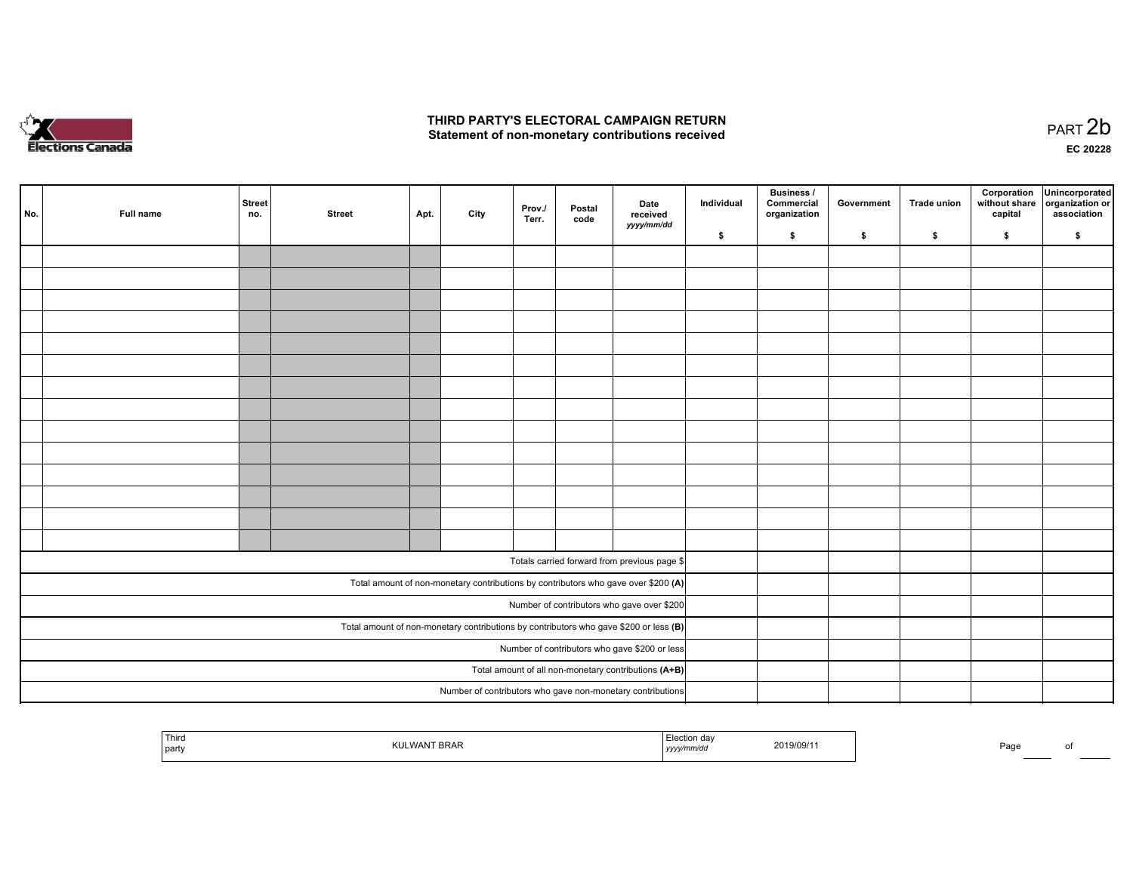

#### THIRD PARTY'S ELECTORAL CAMPAIGN RETURN Statement of non-monetary contributions received

| No. | Full name                                            | Street<br>no. | <b>Street</b> | Apt. | City | Prov./<br>Terr. | Postal<br>code | Date<br>received<br>yyyy/mm/dd                                                        | Individual | Business /<br>Commercial<br>organization | Government | <b>Trade union</b> | Corporation<br>without share<br>capital | Unincorporated<br>organization or<br>association |
|-----|------------------------------------------------------|---------------|---------------|------|------|-----------------|----------------|---------------------------------------------------------------------------------------|------------|------------------------------------------|------------|--------------------|-----------------------------------------|--------------------------------------------------|
|     |                                                      |               |               |      |      |                 |                |                                                                                       | \$         | \$                                       | \$         | \$                 | \$                                      | \$                                               |
|     |                                                      |               |               |      |      |                 |                |                                                                                       |            |                                          |            |                    |                                         |                                                  |
|     |                                                      |               |               |      |      |                 |                |                                                                                       |            |                                          |            |                    |                                         |                                                  |
|     |                                                      |               |               |      |      |                 |                |                                                                                       |            |                                          |            |                    |                                         |                                                  |
|     |                                                      |               |               |      |      |                 |                |                                                                                       |            |                                          |            |                    |                                         |                                                  |
|     |                                                      |               |               |      |      |                 |                |                                                                                       |            |                                          |            |                    |                                         |                                                  |
|     |                                                      |               |               |      |      |                 |                |                                                                                       |            |                                          |            |                    |                                         |                                                  |
|     |                                                      |               |               |      |      |                 |                |                                                                                       |            |                                          |            |                    |                                         |                                                  |
|     |                                                      |               |               |      |      |                 |                |                                                                                       |            |                                          |            |                    |                                         |                                                  |
|     |                                                      |               |               |      |      |                 |                |                                                                                       |            |                                          |            |                    |                                         |                                                  |
|     |                                                      |               |               |      |      |                 |                |                                                                                       |            |                                          |            |                    |                                         |                                                  |
|     |                                                      |               |               |      |      |                 |                |                                                                                       |            |                                          |            |                    |                                         |                                                  |
|     |                                                      |               |               |      |      |                 |                |                                                                                       |            |                                          |            |                    |                                         |                                                  |
|     |                                                      |               |               |      |      |                 |                |                                                                                       |            |                                          |            |                    |                                         |                                                  |
|     |                                                      |               |               |      |      |                 |                |                                                                                       |            |                                          |            |                    |                                         |                                                  |
|     |                                                      |               |               |      |      |                 |                | Totals carried forward from previous page \$                                          |            |                                          |            |                    |                                         |                                                  |
|     |                                                      |               |               |      |      |                 |                | Total amount of non-monetary contributions by contributors who gave over \$200 (A)    |            |                                          |            |                    |                                         |                                                  |
|     |                                                      |               |               |      |      |                 |                | Number of contributors who gave over \$200                                            |            |                                          |            |                    |                                         |                                                  |
|     |                                                      |               |               |      |      |                 |                | Total amount of non-monetary contributions by contributors who gave \$200 or less (B) |            |                                          |            |                    |                                         |                                                  |
|     | Number of contributors who gave \$200 or less        |               |               |      |      |                 |                |                                                                                       |            |                                          |            |                    |                                         |                                                  |
|     | Total amount of all non-monetary contributions (A+B) |               |               |      |      |                 |                |                                                                                       |            |                                          |            |                    |                                         |                                                  |
|     |                                                      |               |               |      |      |                 |                | Number of contributors who gave non-monetary contributions                            |            |                                          |            |                    |                                         |                                                  |
|     |                                                      |               |               |      |      |                 |                |                                                                                       |            |                                          |            |                    |                                         |                                                  |

| ாயாய<br>  party | <b>BRAR</b> | ction day<br>.<br>  yyyy | 2019/09/1 | $P$ aqe |  |
|-----------------|-------------|--------------------------|-----------|---------|--|
|                 |             |                          |           |         |  |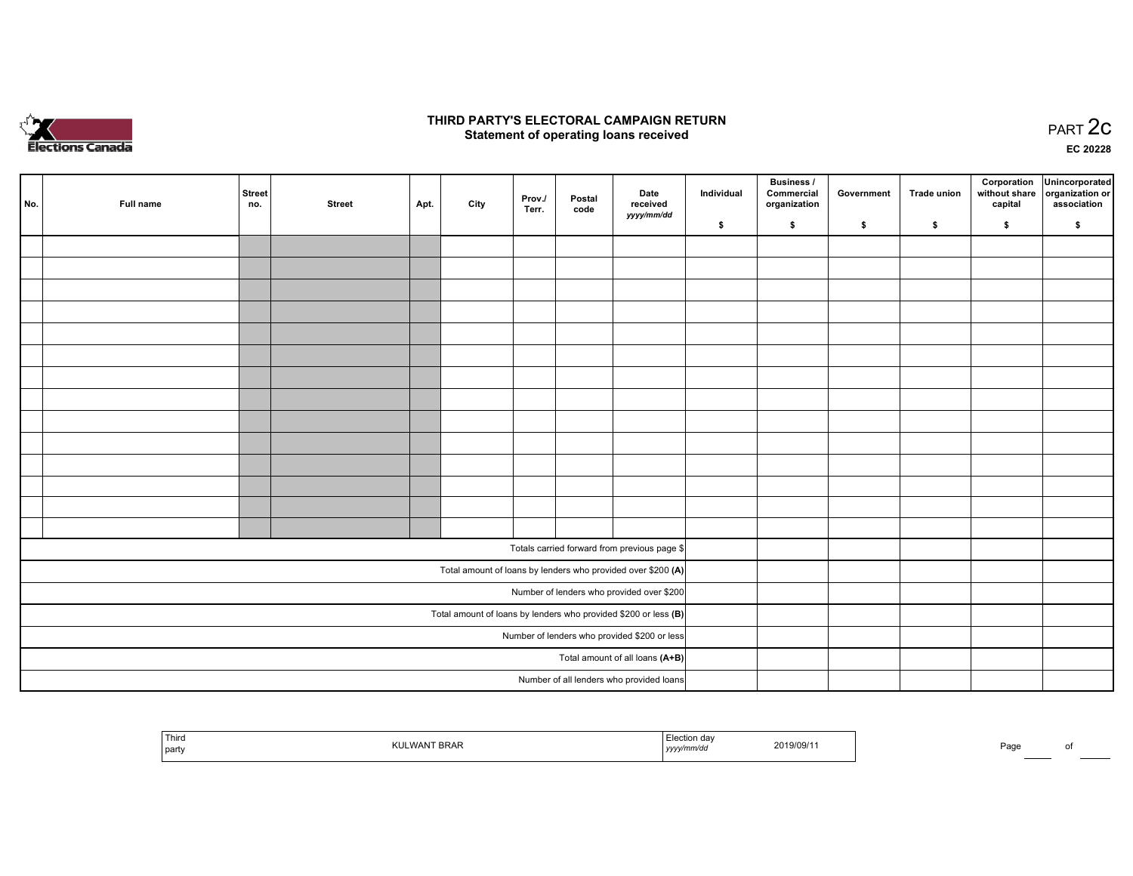

#### THIRD PARTY'S ELECTORAL CAMPAIGN RETURN PARTY'S ELECTORAL CAMPAIGN RETURN<br>Statement of operating loans received PART 2C

EC <sup>20228</sup>

| No. | Full name | <b>Street</b><br>no. | <b>Street</b> | Apt. | City | Prov./<br>Terr. | Postal<br>code | Date<br>received                                                | Individual | Business /<br>Commercial<br>organization | Government | <b>Trade union</b> | Corporation<br>without share<br>capital | Unincorporated<br>organization or<br>association |
|-----|-----------|----------------------|---------------|------|------|-----------------|----------------|-----------------------------------------------------------------|------------|------------------------------------------|------------|--------------------|-----------------------------------------|--------------------------------------------------|
|     |           |                      |               |      |      |                 |                | yyyy/mm/dd                                                      | \$         | \$                                       | \$         | \$                 | \$                                      | \$                                               |
|     |           |                      |               |      |      |                 |                |                                                                 |            |                                          |            |                    |                                         |                                                  |
|     |           |                      |               |      |      |                 |                |                                                                 |            |                                          |            |                    |                                         |                                                  |
|     |           |                      |               |      |      |                 |                |                                                                 |            |                                          |            |                    |                                         |                                                  |
|     |           |                      |               |      |      |                 |                |                                                                 |            |                                          |            |                    |                                         |                                                  |
|     |           |                      |               |      |      |                 |                |                                                                 |            |                                          |            |                    |                                         |                                                  |
|     |           |                      |               |      |      |                 |                |                                                                 |            |                                          |            |                    |                                         |                                                  |
|     |           |                      |               |      |      |                 |                |                                                                 |            |                                          |            |                    |                                         |                                                  |
|     |           |                      |               |      |      |                 |                |                                                                 |            |                                          |            |                    |                                         |                                                  |
|     |           |                      |               |      |      |                 |                |                                                                 |            |                                          |            |                    |                                         |                                                  |
|     |           |                      |               |      |      |                 |                |                                                                 |            |                                          |            |                    |                                         |                                                  |
|     |           |                      |               |      |      |                 |                |                                                                 |            |                                          |            |                    |                                         |                                                  |
|     |           |                      |               |      |      |                 |                |                                                                 |            |                                          |            |                    |                                         |                                                  |
|     |           |                      |               |      |      |                 |                |                                                                 |            |                                          |            |                    |                                         |                                                  |
|     |           |                      |               |      |      |                 |                |                                                                 |            |                                          |            |                    |                                         |                                                  |
|     |           |                      |               |      |      |                 |                | Totals carried forward from previous page \$                    |            |                                          |            |                    |                                         |                                                  |
|     |           |                      |               |      |      |                 |                | Total amount of loans by lenders who provided over \$200 (A)    |            |                                          |            |                    |                                         |                                                  |
|     |           |                      |               |      |      |                 |                | Number of lenders who provided over \$200                       |            |                                          |            |                    |                                         |                                                  |
|     |           |                      |               |      |      |                 |                | Total amount of loans by lenders who provided \$200 or less (B) |            |                                          |            |                    |                                         |                                                  |
|     |           |                      |               |      |      |                 |                | Number of lenders who provided \$200 or less                    |            |                                          |            |                    |                                         |                                                  |
|     |           |                      |               |      |      |                 |                | Total amount of all loans (A+B)                                 |            |                                          |            |                    |                                         |                                                  |
|     |           |                      |               |      |      |                 |                | Number of all lenders who provided loans                        |            |                                          |            |                    |                                         |                                                  |
|     |           |                      |               |      |      |                 |                |                                                                 |            |                                          |            |                    |                                         |                                                  |

| l Thira<br>л иа<br>019/09/1<br>party<br>.<br>,,,,, | Page |  |
|----------------------------------------------------|------|--|
|----------------------------------------------------|------|--|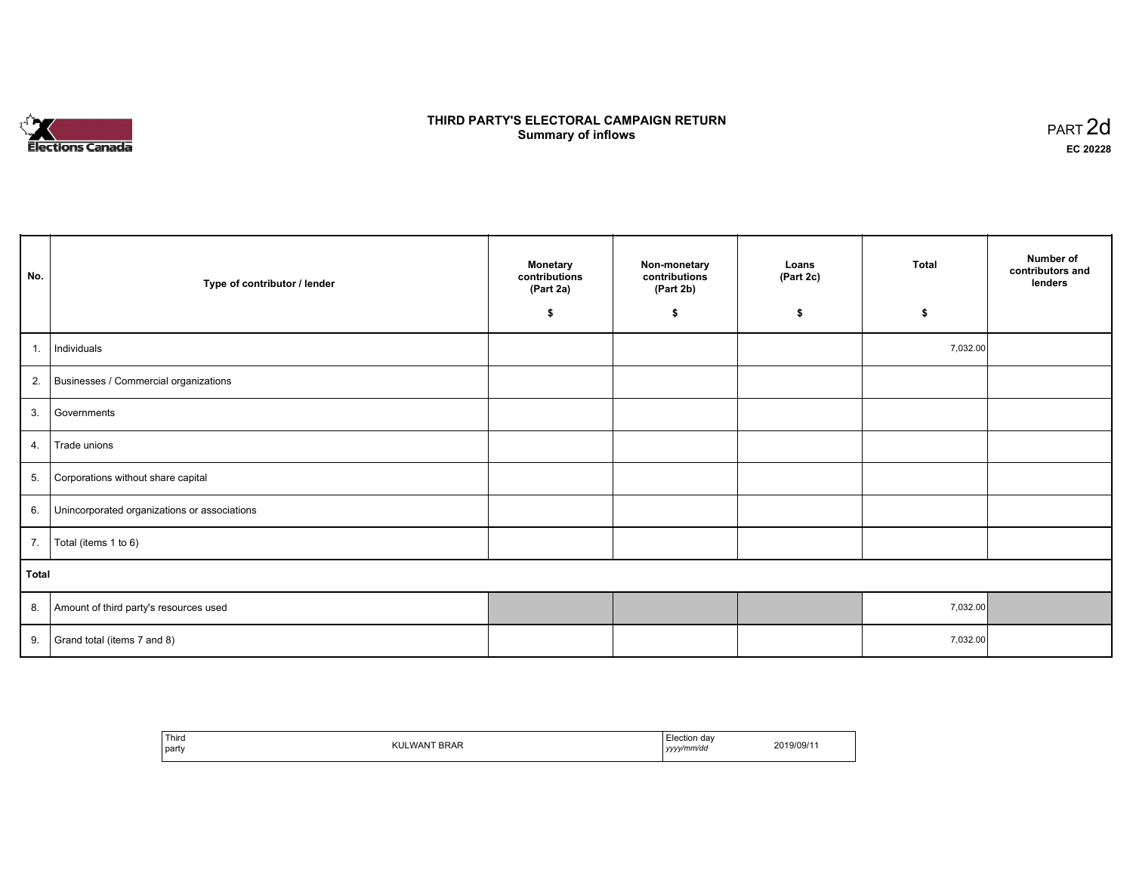# **Elections Canada**

#### THIRD PARTY'S ELECTORAL CAMPAIGN RETURN **Summary of inflows**  $\sigma$  of inflows  $\sigma$  inflows  $\sigma$  inflows  $\sigma$  inflows  $\sigma$

| No.   | Type of contributor / lender                    | <b>Monetary</b><br>contributions<br>(Part 2a) | Non-monetary<br>contributions<br>(Part 2b) | Loans<br>(Part 2c) | Total    | Number of<br>contributors and<br>lenders |
|-------|-------------------------------------------------|-----------------------------------------------|--------------------------------------------|--------------------|----------|------------------------------------------|
|       |                                                 | \$                                            | \$                                         | \$                 | £.       |                                          |
| 1.1   | Individuals                                     |                                               |                                            |                    | 7,032.00 |                                          |
|       | 2. Businesses / Commercial organizations        |                                               |                                            |                    |          |                                          |
| 3.    | Governments                                     |                                               |                                            |                    |          |                                          |
| 4.    | Trade unions                                    |                                               |                                            |                    |          |                                          |
| 5.    | Corporations without share capital              |                                               |                                            |                    |          |                                          |
|       | 6. Unincorporated organizations or associations |                                               |                                            |                    |          |                                          |
| 7.    | Total (items 1 to 6)                            |                                               |                                            |                    |          |                                          |
| Total |                                                 |                                               |                                            |                    |          |                                          |
|       | 8. Amount of third party's resources used       |                                               |                                            |                    | 7,032.00 |                                          |
|       | 9. Grand total (items $7$ and $8$ )             |                                               |                                            |                    | 7,032.00 |                                          |

| Third<br>LWANT BRAR<br>KUL<br>party | Election dav<br>vyy/mm/dd<br>,,,,<br>. | 2019/09/1 |
|-------------------------------------|----------------------------------------|-----------|
|-------------------------------------|----------------------------------------|-----------|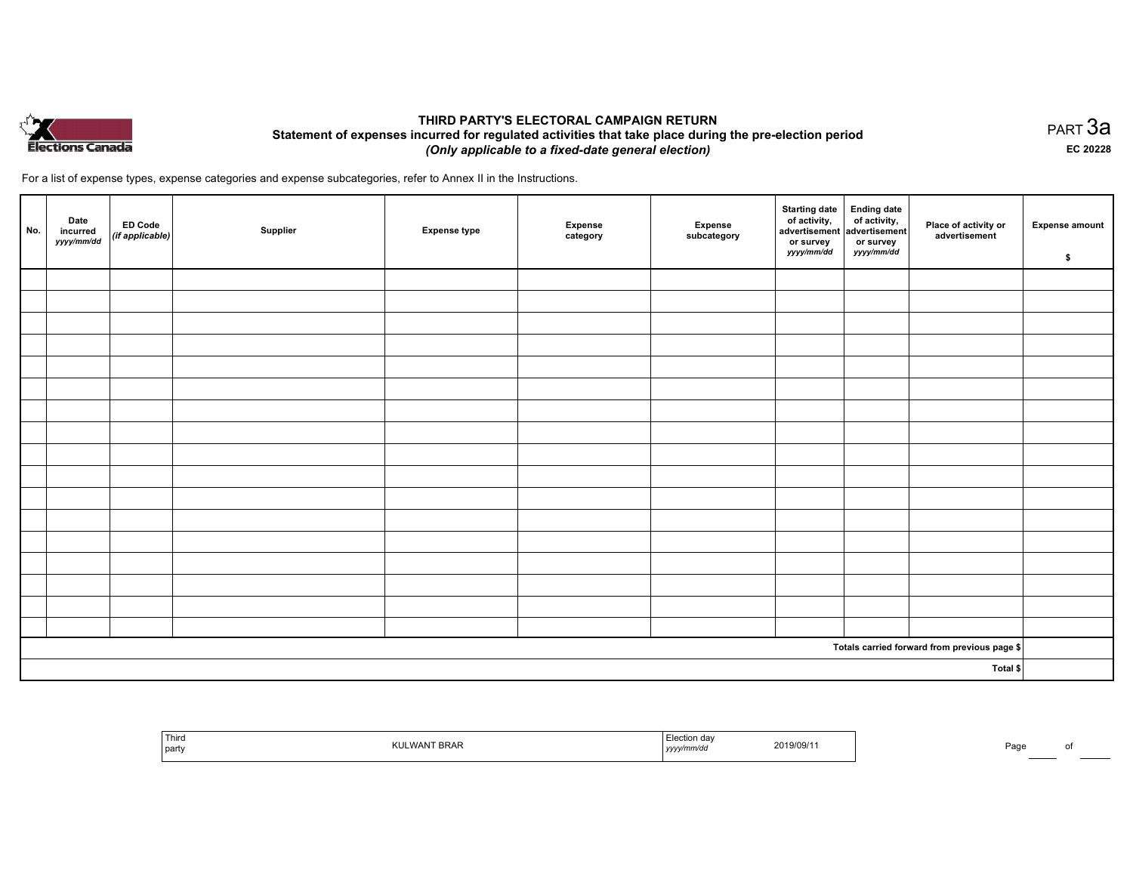

#### THIRD PARTY'S ELECTORAL CAMPAIGN RETURN Statement of expenses incurred for regulated activities that take place during the pre-election period (Only applicable to <sup>a</sup> fixed-date general election)

For <sup>a</sup> list of expense types, expense categories and expense subcategories, refer to Annex II in the Instructions.

| No. | Date<br>incurred<br>yyyy/mm/dd | ED Code<br>(if applicable) | Supplier | <b>Expense type</b> | <b>Expense</b><br>category | Expense<br>subcategory | Starting date<br>of activity,<br>advertisement advertisement<br>or survey<br>yyyy/mm/dd | <b>Ending date</b><br>of activity,<br>or survey<br>yyyy/mm/dd | Place of activity or<br>advertisement                   | <b>Expense amount</b><br>\$ |
|-----|--------------------------------|----------------------------|----------|---------------------|----------------------------|------------------------|-----------------------------------------------------------------------------------------|---------------------------------------------------------------|---------------------------------------------------------|-----------------------------|
|     |                                |                            |          |                     |                            |                        |                                                                                         |                                                               |                                                         |                             |
|     |                                |                            |          |                     |                            |                        |                                                                                         |                                                               |                                                         |                             |
|     |                                |                            |          |                     |                            |                        |                                                                                         |                                                               |                                                         |                             |
|     |                                |                            |          |                     |                            |                        |                                                                                         |                                                               |                                                         |                             |
|     |                                |                            |          |                     |                            |                        |                                                                                         |                                                               |                                                         |                             |
|     |                                |                            |          |                     |                            |                        |                                                                                         |                                                               |                                                         |                             |
|     |                                |                            |          |                     |                            |                        |                                                                                         |                                                               |                                                         |                             |
|     |                                |                            |          |                     |                            |                        |                                                                                         |                                                               |                                                         |                             |
|     |                                |                            |          |                     |                            |                        |                                                                                         |                                                               |                                                         |                             |
|     |                                |                            |          |                     |                            |                        |                                                                                         |                                                               |                                                         |                             |
|     |                                |                            |          |                     |                            |                        |                                                                                         |                                                               |                                                         |                             |
|     |                                |                            |          |                     |                            |                        |                                                                                         |                                                               |                                                         |                             |
|     |                                |                            |          |                     |                            |                        |                                                                                         |                                                               |                                                         |                             |
|     |                                |                            |          |                     |                            |                        |                                                                                         |                                                               |                                                         |                             |
|     |                                |                            |          |                     |                            |                        |                                                                                         |                                                               |                                                         |                             |
|     |                                |                            |          |                     |                            |                        |                                                                                         |                                                               |                                                         |                             |
|     |                                |                            |          |                     |                            |                        |                                                                                         |                                                               |                                                         |                             |
|     |                                |                            |          |                     |                            |                        |                                                                                         |                                                               | Totals carried forward from previous page $\frac{1}{2}$ |                             |
|     |                                |                            |          |                     |                            |                        |                                                                                         |                                                               | Total \$                                                |                             |

| ' Third<br>party | 2019/09/1<br>. | 'ао |
|------------------|----------------|-----|
|------------------|----------------|-----|

равт $\,3$ а EC <sup>20228</sup>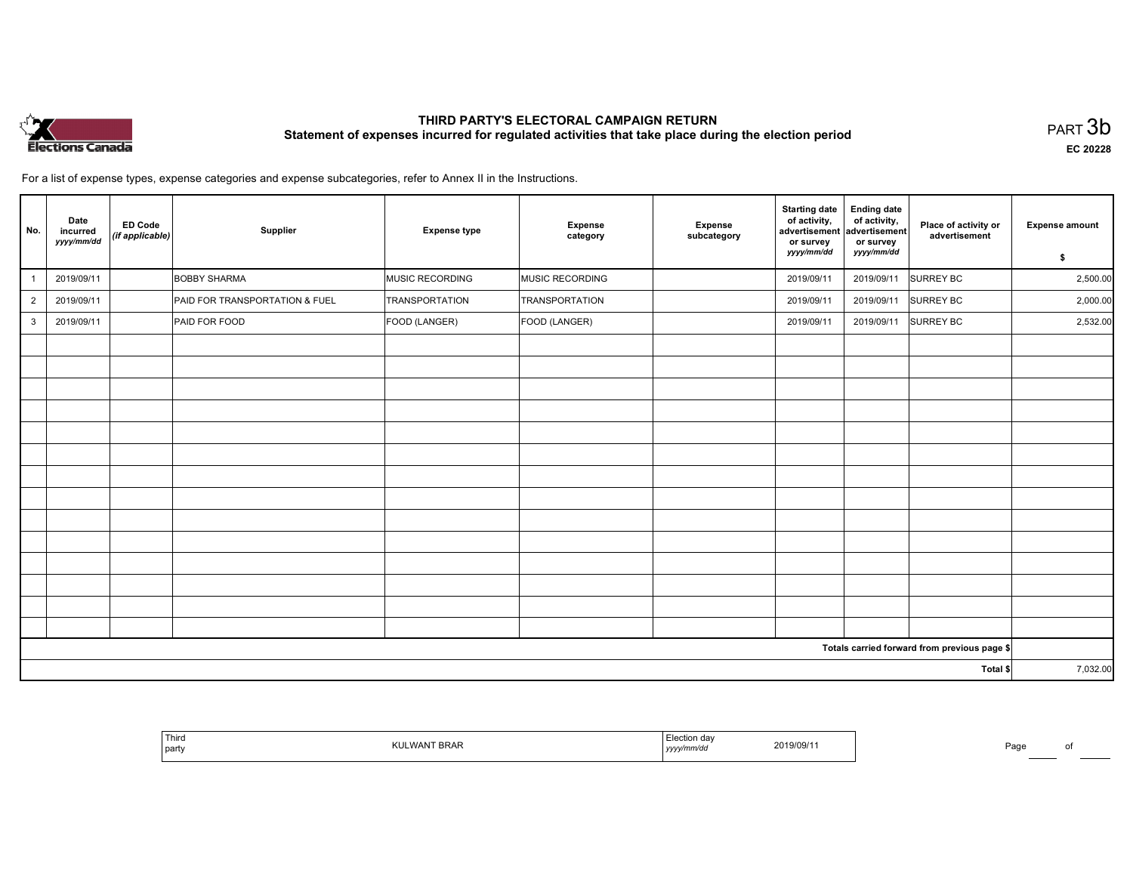

### THIRD PARTY'S ELECTORAL CAMPAIGN RETURN THIRD PARTT'S ELECTORAL CAMPAIGN RETURN<br>Statement of expenses incurred for regulated activities that take place during the election period PART 3b

EC <sup>20228</sup>

For <sup>a</sup> list of expense types, expense categories and expense subcategories, refer to Annex II in the Instructions.

| No.            | Date<br><b>ED Code</b><br>incurred<br>(if applicable)<br>yyyy/mm/dd | Supplier                       | <b>Expense type</b> | <b>Expense</b><br>category | <b>Expense</b><br>subcategory | <b>Starting date</b><br>of activity,<br>advertisement<br>or survey<br>yyyy/mm/dd | <b>Ending date</b><br>of activity,<br>advertisement<br>or survey<br>yyyy/mm/dd | Place of activity or<br>advertisement        | <b>Expense amount</b><br>\$ |
|----------------|---------------------------------------------------------------------|--------------------------------|---------------------|----------------------------|-------------------------------|----------------------------------------------------------------------------------|--------------------------------------------------------------------------------|----------------------------------------------|-----------------------------|
|                | 2019/09/11                                                          | <b>BOBBY SHARMA</b>            | MUSIC RECORDING     | MUSIC RECORDING            |                               | 2019/09/11                                                                       | 2019/09/11                                                                     | <b>SURREY BC</b>                             | 2,500.00                    |
| $\overline{2}$ | 2019/09/11                                                          | PAID FOR TRANSPORTATION & FUEL | TRANSPORTATION      | TRANSPORTATION             |                               | 2019/09/11                                                                       | 2019/09/11                                                                     | <b>SURREY BC</b>                             | 2,000.00                    |
| 3              | 2019/09/11                                                          | PAID FOR FOOD                  | FOOD (LANGER)       | FOOD (LANGER)              |                               | 2019/09/11                                                                       | 2019/09/11                                                                     | <b>SURREY BC</b>                             | 2,532.00                    |
|                |                                                                     |                                |                     |                            |                               |                                                                                  |                                                                                |                                              |                             |
|                |                                                                     |                                |                     |                            |                               |                                                                                  |                                                                                |                                              |                             |
|                |                                                                     |                                |                     |                            |                               |                                                                                  |                                                                                |                                              |                             |
|                |                                                                     |                                |                     |                            |                               |                                                                                  |                                                                                |                                              |                             |
|                |                                                                     |                                |                     |                            |                               |                                                                                  |                                                                                |                                              |                             |
|                |                                                                     |                                |                     |                            |                               |                                                                                  |                                                                                |                                              |                             |
|                |                                                                     |                                |                     |                            |                               |                                                                                  |                                                                                |                                              |                             |
|                |                                                                     |                                |                     |                            |                               |                                                                                  |                                                                                |                                              |                             |
|                |                                                                     |                                |                     |                            |                               |                                                                                  |                                                                                |                                              |                             |
|                |                                                                     |                                |                     |                            |                               |                                                                                  |                                                                                |                                              |                             |
|                |                                                                     |                                |                     |                            |                               |                                                                                  |                                                                                |                                              |                             |
|                |                                                                     |                                |                     |                            |                               |                                                                                  |                                                                                |                                              |                             |
|                |                                                                     |                                |                     |                            |                               |                                                                                  |                                                                                |                                              |                             |
|                |                                                                     |                                |                     |                            |                               |                                                                                  |                                                                                |                                              |                             |
|                |                                                                     |                                |                     |                            |                               |                                                                                  |                                                                                | Totals carried forward from previous page \$ |                             |
| Total \$       |                                                                     |                                |                     |                            |                               |                                                                                  | 7,032.00                                                                       |                                              |                             |

|  | ' Third<br>.<br>SRAN<br>nu.<br>party<br>. | .9/09/7<br>,,,, |  | Pag. |  |
|--|-------------------------------------------|-----------------|--|------|--|
|--|-------------------------------------------|-----------------|--|------|--|